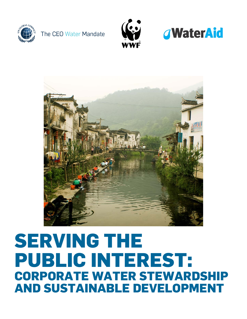









# **SERVING THE PUBLIC INTEREST: CORPORATE WATER STEWARDSHIP AND SUSTAINABLE DEVELOPMENT**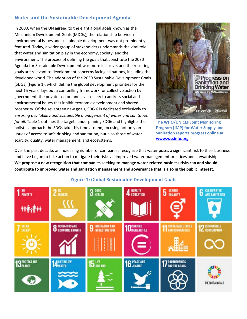## **Water and the Sustainable Development Agenda**

In 2000, when the UN agreed to the eight global goals known as the Millennium Development Goals (MDGs), the relationship between environmental issues and sustainable development was not prominently featured. Today, a wider group of stakeholders understands the vital role that water and sanitation play in the economy, society, and the environment. The process of defining the goals that constitute the 2030 Agenda for Sustainable Development was more inclusive, and the resulting goals are relevant to development concerns facing all nations, including the developed world. The adoption of the 2030 Sustainable Development Goals (SDGs) (Figure 1), which define the global development priorities for the next 15 years, lays out a compelling framework for collective action by government, the private sector, and civil society to address social and environmental issues that inhibit economic development and shared prosperity. Of the seventeen new goals, SDG 6 is dedicated exclusively to *ensuring availability and sustainable management of water and sanitation for all*. Table 1 outlines the targets underpinning SDG6 and highlights the holistic approach the SDGs take this time around, focusing not only on issues of access to safe drinking and sanitation, but also those of water scarcity, quality, water management, and ecosystems.



**The WHO/UNICEF Joint Monitoring Program (JMP) for Water Supply and Sanitation reports progress online at [www.wssinfo.org.](http://www.wssinfo.org/)**

Over the past decade, an increasing number of companies recognize that water poses a significant risk to their business and have begun to take action to mitigate their risks via improved water management practices and stewardship. **We propose a new recognition that companies seeking to manage water-related business risks can and should contribute to improved water and sanitation management and governance that is also in the public interest.**



#### **Figure 1: Global Sustainable Development Goals**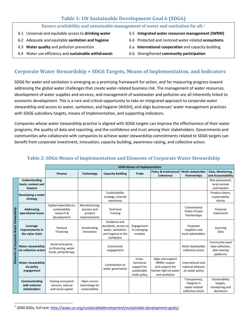### **Table 1: UN Sustainable Development Goal 6 (SDG6)**

| Ensure availability and sustainable management of water and sanitation for all. <sup>1</sup> |  |                                               |  |  |
|----------------------------------------------------------------------------------------------|--|-----------------------------------------------|--|--|
| 6.1 Universal and equitable access to drinking water                                         |  | 6.5 Integrated water resources management (IW |  |  |

- 6.2 Adequate and equitable **sanitation and hygiene**
- 6.3 **Water quality** and pollution prevention
- 6.4 Water use efficiency and **sustainable withdrawals**
- 6.5 **Integrated water resources management (IWRM)**
- 6.6 Protected and restored water-related **ecosystems**
- 6.a **International cooperation** and capacity-building
- 6.b Strengthened **community participation**

## **Corporate Water Stewardship + SDG6 Targets, Means of Implementation, and Indicators**

SDG6 for water and sanitation is emerging as a promising framework for action, and for measuring progress toward addressing the global water challenges that create water-related business risk. The management of water resources, development of water supplies and services, and management of wastewater and pollution are all inherently linked to economic development. This is a rare and critical opportunity to take an integrated approach to corporate water stewardship and access to water, sanitation, and hygiene (WASH), and align businesses' water management practices with SDG6 subsidiary targets, means of implementation, and supporting indicators.

Companies whose water stewardship practice is aligned with SDG6 targets can improve the effectiveness of their water programs, the quality of data and reporting, and the confidence and trust among their stakeholders. Governments and communities who collaborate with companies to achieve water stewardship commitments related to SDG6 targets can benefit from corporate investment, innovation, capacity building, awareness raising, and collective action.

|                                         |                                                      | <b>SDG6 Means of Implementation</b>                                  |                                                          |                                                                                               |                                                                    |                                                                                                 |                                                                     |                                                                  |
|-----------------------------------------|------------------------------------------------------|----------------------------------------------------------------------|----------------------------------------------------------|-----------------------------------------------------------------------------------------------|--------------------------------------------------------------------|-------------------------------------------------------------------------------------------------|---------------------------------------------------------------------|------------------------------------------------------------------|
|                                         |                                                      | <b>Finance</b>                                                       | <b>Technology</b>                                        | <b>Capacity Building</b>                                                                      | <b>Trade</b>                                                       | <b>Policy &amp; Institutional</b><br>Coherence                                                  | Multi-stakeholder<br>Partnerships                                   | Data, Monitoring,<br>and Accountability                          |
|                                         | Understanding<br>basin, context and<br>impacts       |                                                                      |                                                          |                                                                                               |                                                                    |                                                                                                 |                                                                     | Risk assessment.<br>local context<br>and impacts                 |
| Elements of Corporate Water Stewardship | Developing a water<br>strategy                       |                                                                      |                                                          | Sustainability<br>strategy, internal<br>awareness                                             |                                                                    |                                                                                                 |                                                                     | Product claims,<br>sustainability<br>stories                     |
|                                         | Addressing<br>operational issues                     | Capital expenditures,<br>sustainability<br>research &<br>development | Manufacturing,<br>process and<br>product<br>improvements | Technical<br>Training                                                                         |                                                                    |                                                                                                 | Conventional<br>Public-Private<br>Partnerships                      | Financial<br>statements                                          |
|                                         | Leverage<br>improvements in<br>the value chain       | Venture<br>Financing                                                 | Accelerating<br>innovation                               | Guidance and<br>standards, access to<br>water, sanitation,<br>and hygiene in the<br>workplace | Engagement<br>In emerging<br>markets                               |                                                                                                 | Empower<br>suppliers and<br>local stakeholders                      | Sourcing<br>Data                                                 |
|                                         | <b>Water stewardship</b><br>via collective action    | Social enterprise,<br>co-financing, water<br>funds, philanthropy     |                                                          | Community<br>engagement                                                                       |                                                                    |                                                                                                 | Multi-stakeholder<br>collective action                              | Community-level<br>data collection.<br>data sharing<br>platforms |
|                                         | <b>Water stewardship</b><br>via policy<br>engagement |                                                                      |                                                          | Contribution to<br>water governance                                                           | Cross-<br>functional<br>support for<br>sustainable<br>trade policy | Align and support<br>IWRM; respect<br>and support the<br>human right to water<br>and sanitation | International and<br>national alliances<br>on water policy          |                                                                  |
|                                         | Communicating<br>with external<br>stakeholders       | Valuing ecosystem<br>services, natural<br>and social capital         | Open-source<br>technology for<br>sustainability          |                                                                                               |                                                                    |                                                                                                 | Transparency,<br>integrity in<br>water-related<br>collective action | Sustainability<br>targets,<br>monitoring and<br>disclosure       |

#### **Table 2: SDG6 Means of Implementation and Elements of Corporate Water Stewardship**

<span id="page-2-0"></span><sup>&</sup>lt;sup>1</sup> 2030 SDGs, full text: [http://www.un.org/sustainabledevelopment/sustainable-development-goals/.](http://www.un.org/sustainabledevelopment/sustainable-development-goals/)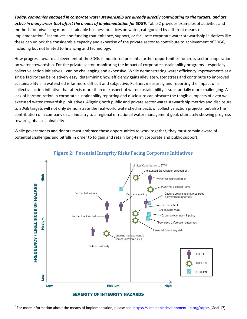#### *Today, companies engaged in corporate water stewardship are already directly contributing to the targets, and are active in many areas that affect the means of implementation for SDG6*. Table 2 provides examples of activities and methods for advancing more sustainable business practices on water, categorized by different means of implementation.<sup>[2](#page-3-0)</sup> Incentives and funding that enhance, support, or facilitate corporate water stewardship initiatives like these can unlock the considerable capacity and expertise of the private sector to contribute to achievement of SDG6, including but not limited to financing and technology.

How progress toward achievement of the SDGs is monitored presents further opportunities for cross-sector cooperation on water stewardship. For the private sector, monitoring the impact of corporate sustainability programs—especially collective action initiatives—can be challenging and expensive. While demonstrating water efficiency improvements at a single facility can be relatively easy, determining how efficiency gains alleviate water stress and contribute to improved sustainability in a watershed is far more difficult and subjective. Further, measuring and reporting the impact of a collective action initiative that affects more than one aspect of water sustainability is substantially more challenging. A lack of harmonization in corporate sustainability reporting and disclosure can obscure the tangible impacts of even wellexecuted water stewardship initiatives. Aligning both public and private sector water stewardship metrics and disclosure to SDG6 targets will not only demonstrate the real world watershed impacts of collective action projects, but also the contribution of a company or an industry to a regional or national water management goal, ultimately showing progress toward global sustainability.

While governments and donors must embrace these opportunities to work together, they must remain aware of potential challenges and pitfalls in order to to gain and retain long-term corporate and public support.



#### **Figure 2: Potential Integrity Risks Facing Corporate Initiatives**

<span id="page-3-0"></span><sup>&</sup>lt;sup>2</sup> For more information about the means of implementation, please see: <https://sustainabledevelopment.un.org/topics> (Goal 17).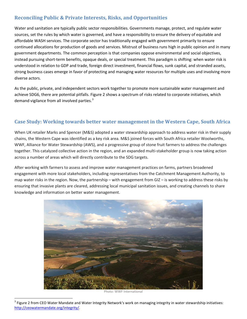## **Reconciling Public & Private Interests, Risks, and Opportunities**

Water and sanitation are typically public sector responsibilities. Governments manage, protect, and regulate water sources, set the rules by which water is governed, and have a responsibility to ensure the delivery of equitable and affordable WASH services. The corporate sector has traditionally engaged with government primarily to ensure continued allocations for production of goods and services. Mistrust of business runs high in public opinion and in many government departments. The common perception is that companies oppose environmental and social objectives, instead pursuing short-term benefits, opaque deals, or special treatment. This paradigm is shifting: when water risk is understood in relation to GDP and trade, foreign direct investment, financial flows, sunk capital, and stranded assets, strong business cases emerge in favor of protecting and managing water resources for multiple uses and involving more diverse actors.

As the public, private, and independent sectors work together to promote more sustainable water management and achieve SDG6, there are potential pitfalls. Figure 2 shows a spectrum of risks related to corporate initiatives, which demand vigilance from all involved parties. $3$ 

#### **Case Study: Working towards better water management in the Western Cape, South Africa**

When UK retailer Marks and Spencer (M&S) adopted a water stewardship approach to address water risk in their supply chains, the Western Cape was identified as a key risk area. M&S joined forces with South Africa retailer Woolworths, WWF, Alliance for Water Stewardship (AWS), and a progressive group of stone fruit farmers to address the challenges together. This catalyzed collective action in the region, and an expanded multi-stakeholder group is now taking action across a number of areas which will directly contribute to the SDG targets.

After working with farmers to assess and improve water management practices on farms, partners broadened engagement with more local stakeholders, including representatives from the Catchment Management Authority, to map water risks in the region. Now, the partnership – with engagement from GIZ – is working to address these risks by ensuring that invasive plants are cleared, addressing local municipal sanitation issues, and creating channels to share knowledge and information on better water management.



Photo: WWF International

<span id="page-4-0"></span> $3$  Figure 2 from CEO Water Mandate and Water Integrity Network's work on managing integrity in water stewardship initiatives: [http://ceowatermandate.org/integrity/.](http://ceowatermandate.org/integrity/)